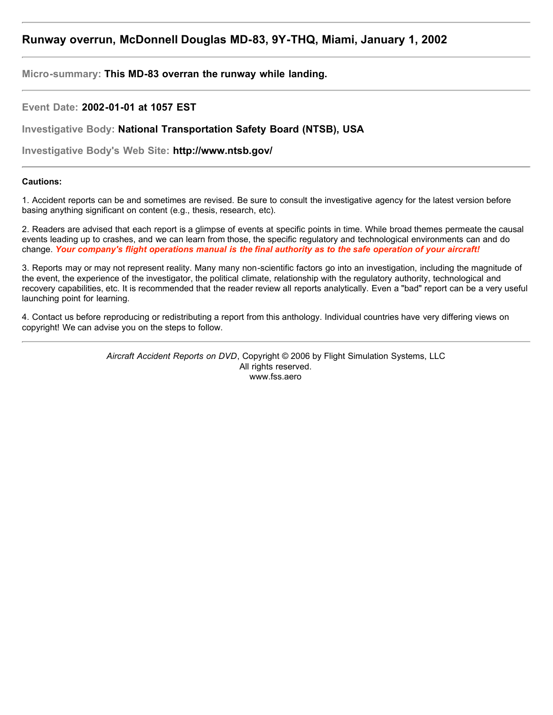# **Runway overrun, McDonnell Douglas MD-83, 9Y-THQ, Miami, January 1, 2002**

**Micro-summary: This MD-83 overran the runway while landing.**

**Event Date: 2002-01-01 at 1057 EST**

**Investigative Body: National Transportation Safety Board (NTSB), USA**

**Investigative Body's Web Site: http://www.ntsb.gov/**

# **Cautions:**

1. Accident reports can be and sometimes are revised. Be sure to consult the investigative agency for the latest version before basing anything significant on content (e.g., thesis, research, etc).

2. Readers are advised that each report is a glimpse of events at specific points in time. While broad themes permeate the causal events leading up to crashes, and we can learn from those, the specific regulatory and technological environments can and do change. *Your company's flight operations manual is the final authority as to the safe operation of your aircraft!*

3. Reports may or may not represent reality. Many many non-scientific factors go into an investigation, including the magnitude of the event, the experience of the investigator, the political climate, relationship with the regulatory authority, technological and recovery capabilities, etc. It is recommended that the reader review all reports analytically. Even a "bad" report can be a very useful launching point for learning.

4. Contact us before reproducing or redistributing a report from this anthology. Individual countries have very differing views on copyright! We can advise you on the steps to follow.

> *Aircraft Accident Reports on DVD*, Copyright © 2006 by Flight Simulation Systems, LLC All rights reserved. www.fss.aero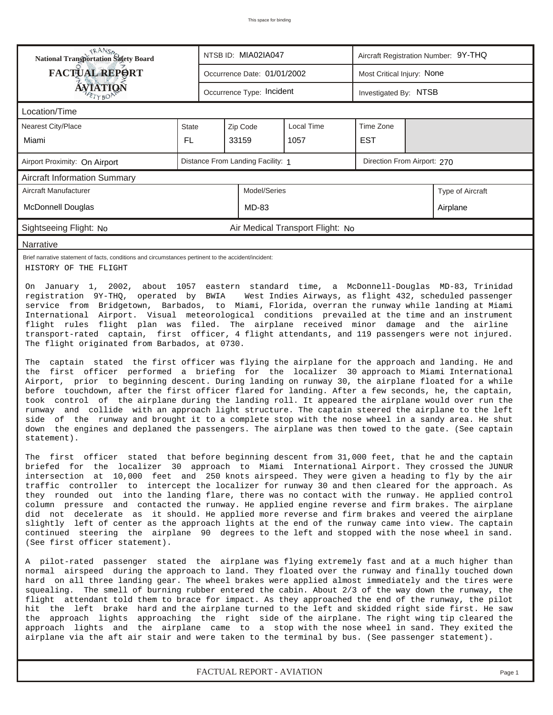| RANS <sub>P</sub> RANSP<br>National Transportation Safety Board                                                                                                                                                                                                                                                                                                                                                                                                                                                                                                                                                                                                                                                                                                                                                                                                                                                                                                                                                                                                                                                                                                                                                                                                                                                                                                                                                                                                                                           |              |  | NTSB ID: MIA02IA047               |                                  | Aircraft Registration Number: 9Y-THQ |  |                             |  |  |
|-----------------------------------------------------------------------------------------------------------------------------------------------------------------------------------------------------------------------------------------------------------------------------------------------------------------------------------------------------------------------------------------------------------------------------------------------------------------------------------------------------------------------------------------------------------------------------------------------------------------------------------------------------------------------------------------------------------------------------------------------------------------------------------------------------------------------------------------------------------------------------------------------------------------------------------------------------------------------------------------------------------------------------------------------------------------------------------------------------------------------------------------------------------------------------------------------------------------------------------------------------------------------------------------------------------------------------------------------------------------------------------------------------------------------------------------------------------------------------------------------------------|--------------|--|-----------------------------------|----------------------------------|--------------------------------------|--|-----------------------------|--|--|
| <b>FACTUAL REPORT</b>                                                                                                                                                                                                                                                                                                                                                                                                                                                                                                                                                                                                                                                                                                                                                                                                                                                                                                                                                                                                                                                                                                                                                                                                                                                                                                                                                                                                                                                                                     |              |  | Occurrence Date: 01/01/2002       |                                  | Most Critical Injury: None           |  |                             |  |  |
| ÁVIATIQN                                                                                                                                                                                                                                                                                                                                                                                                                                                                                                                                                                                                                                                                                                                                                                                                                                                                                                                                                                                                                                                                                                                                                                                                                                                                                                                                                                                                                                                                                                  |              |  | Occurrence Type: Incident         |                                  | Investigated By: NTSB                |  |                             |  |  |
| Location/Time                                                                                                                                                                                                                                                                                                                                                                                                                                                                                                                                                                                                                                                                                                                                                                                                                                                                                                                                                                                                                                                                                                                                                                                                                                                                                                                                                                                                                                                                                             |              |  |                                   |                                  |                                      |  |                             |  |  |
| Nearest City/Place                                                                                                                                                                                                                                                                                                                                                                                                                                                                                                                                                                                                                                                                                                                                                                                                                                                                                                                                                                                                                                                                                                                                                                                                                                                                                                                                                                                                                                                                                        | <b>State</b> |  | Zip Code                          | Local Time                       | Time Zone                            |  |                             |  |  |
| Miami                                                                                                                                                                                                                                                                                                                                                                                                                                                                                                                                                                                                                                                                                                                                                                                                                                                                                                                                                                                                                                                                                                                                                                                                                                                                                                                                                                                                                                                                                                     | FL.          |  | 33159                             | 1057                             | <b>EST</b>                           |  |                             |  |  |
| Airport Proximity: On Airport                                                                                                                                                                                                                                                                                                                                                                                                                                                                                                                                                                                                                                                                                                                                                                                                                                                                                                                                                                                                                                                                                                                                                                                                                                                                                                                                                                                                                                                                             |              |  | Distance From Landing Facility: 1 |                                  |                                      |  | Direction From Airport: 270 |  |  |
| <b>Aircraft Information Summary</b>                                                                                                                                                                                                                                                                                                                                                                                                                                                                                                                                                                                                                                                                                                                                                                                                                                                                                                                                                                                                                                                                                                                                                                                                                                                                                                                                                                                                                                                                       |              |  |                                   |                                  |                                      |  |                             |  |  |
| Aircraft Manufacturer                                                                                                                                                                                                                                                                                                                                                                                                                                                                                                                                                                                                                                                                                                                                                                                                                                                                                                                                                                                                                                                                                                                                                                                                                                                                                                                                                                                                                                                                                     |              |  | Model/Series                      |                                  |                                      |  | Type of Aircraft            |  |  |
| <b>McDonnell Douglas</b>                                                                                                                                                                                                                                                                                                                                                                                                                                                                                                                                                                                                                                                                                                                                                                                                                                                                                                                                                                                                                                                                                                                                                                                                                                                                                                                                                                                                                                                                                  |              |  | MD-83                             |                                  |                                      |  | Airplane                    |  |  |
| Sightseeing Flight: No                                                                                                                                                                                                                                                                                                                                                                                                                                                                                                                                                                                                                                                                                                                                                                                                                                                                                                                                                                                                                                                                                                                                                                                                                                                                                                                                                                                                                                                                                    |              |  |                                   | Air Medical Transport Flight: No |                                      |  |                             |  |  |
| Narrative                                                                                                                                                                                                                                                                                                                                                                                                                                                                                                                                                                                                                                                                                                                                                                                                                                                                                                                                                                                                                                                                                                                                                                                                                                                                                                                                                                                                                                                                                                 |              |  |                                   |                                  |                                      |  |                             |  |  |
| Brief narrative statement of facts, conditions and circumstances pertinent to the accident/incident:<br>HISTORY OF THE FLIGHT                                                                                                                                                                                                                                                                                                                                                                                                                                                                                                                                                                                                                                                                                                                                                                                                                                                                                                                                                                                                                                                                                                                                                                                                                                                                                                                                                                             |              |  |                                   |                                  |                                      |  |                             |  |  |
| On January 1, 2002, about 1057 eastern standard time, a McDonnell-Douglas MD-83, Trinidad<br>registration 9Y-THQ, operated by BWIA<br>West Indies Airways, as flight 432, scheduled passenger<br>service from Bridgetown, Barbados, to Miami, Florida, overran the runway while landing at Miami<br>International Airport. Visual meteorological conditions prevailed at the time and an instrument<br>flight rules flight plan was filed. The airplane received minor damage and the airline<br>transport-rated captain, first officer, 4 flight attendants, and 119 passengers were not injured.<br>The flight originated from Barbados, at 0730.<br>The captain stated the first officer was flying the airplane for the approach and landing. He and<br>the first officer performed a briefing for the localizer 30 approach to Miami International<br>Airport, prior to beginning descent. During landing on runway 30, the airplane floated for a while<br>before touchdown, after the first officer flared for landing. After a few seconds, he, the captain,<br>took control of the airplane during the landing roll. It appeared the airplane would over run the<br>runway and collide with an approach light structure. The captain steered the airplane to the left<br>side of the runway and brought it to a complete stop with the nose wheel in a sandy area. He shut<br>down the engines and deplaned the passengers. The airplane was then towed to the gate. (See captain<br>statement). |              |  |                                   |                                  |                                      |  |                             |  |  |
| The first officer stated that before beginning descent from 31,000 feet, that he and the captain<br>briefed for the localizer 30 approach to Miami International Airport. They crossed the JUNUR<br>intersection at 10,000 feet and 250 knots airspeed. They were given a heading to fly by the air<br>traffic controller to intercept the localizer for runway 30 and then cleared for the approach. As<br>they rounded out into the landing flare, there was no contact with the runway. He applied control<br>column pressure and contacted the runway. He applied engine reverse and firm brakes. The airplane<br>did not decelerate as it should. He applied more reverse and firm brakes and veered the airplane<br>slightly left of center as the approach lights at the end of the runway came into view. The captain<br>continued steering the airplane 90 degrees to the left and stopped with the nose wheel in sand.<br>(See first officer statement).                                                                                                                                                                                                                                                                                                                                                                                                                                                                                                                                        |              |  |                                   |                                  |                                      |  |                             |  |  |
| A pilot-rated passenger stated the airplane was flying extremely fast and at a much higher than<br>normal airspeed during the approach to land. They floated over the runway and finally touched down<br>hard on all three landing gear. The wheel brakes were applied almost immediately and the tires were<br>squealing. The smell of burning rubber entered the cabin. About 2/3 of the way down the runway, the<br>flight attendant told them to brace for impact. As they approached the end of the runway, the pilot<br>hit the left brake hard and the airplane turned to the left and skidded right side first. He saw<br>the approach lights approaching the right side of the airplane. The right wing tip cleared the<br>approach lights and the airplane came to a stop with the nose wheel in sand. They exited the<br>airplane via the aft air stair and were taken to the terminal by bus. (See passenger statement).                                                                                                                                                                                                                                                                                                                                                                                                                                                                                                                                                                      |              |  |                                   |                                  |                                      |  |                             |  |  |

*FACTUAL REPORT - AVIATION Page 1*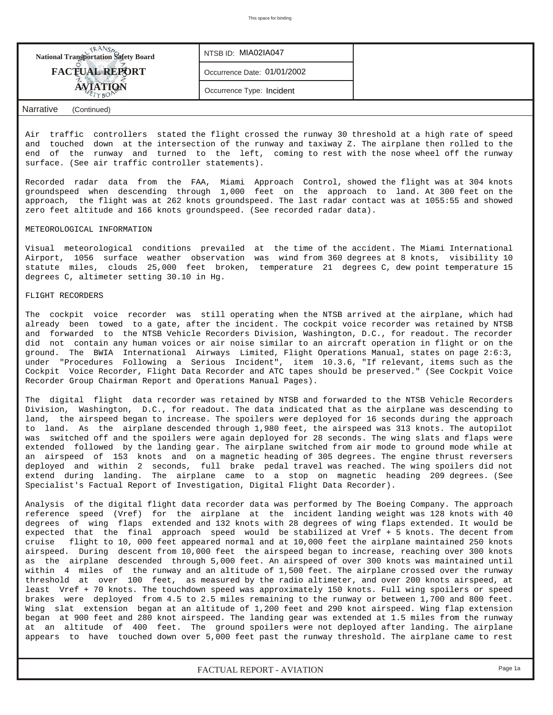| <b>National Transportation Safety Board</b>               | NTSB ID: MIA02IA047         |  |
|-----------------------------------------------------------|-----------------------------|--|
| <b>FACTUAL REPORT</b>                                     | Occurrence Date: 01/01/2002 |  |
| <b>AVIATION</b>                                           | Occurrence Type: Incident   |  |
| $\mathbf{r}$<br>$\sim$ $\sim$ $\sim$ $\sim$ $\sim$ $\sim$ |                             |  |

## *Narrative (Continued)*

Air traffic controllers stated the flight crossed the runway 30 threshold at a high rate of speed and touched down at the intersection of the runway and taxiway Z. The airplane then rolled to the end of the runway and turned to the left, coming to rest with the nose wheel off the runway surface. (See air traffic controller statements).

Recorded radar data from the FAA, Miami Approach Control, showed the flight was at 304 knots groundspeed when descending through 1,000 feet on the approach to land. At 300 feet on the approach, the flight was at 262 knots groundspeed. The last radar contact was at 1055:55 and showed zero feet altitude and 166 knots groundspeed. (See recorded radar data).

### METEOROLOGICAL INFORMATION

Visual meteorological conditions prevailed at the time of the accident. The Miami International Airport, 1056 surface weather observation was wind from 360 degrees at 8 knots, visibility 10 statute miles, clouds 25,000 feet broken, temperature 21 degrees C, dew point temperature 15 degrees C, altimeter setting 30.10 in Hg.

#### FLIGHT RECORDERS

The cockpit voice recorder was still operating when the NTSB arrived at the airplane, which had already been towed to a gate, after the incident. The cockpit voice recorder was retained by NTSB and forwarded to the NTSB Vehicle Recorders Division, Washington, D.C., for readout. The recorder did not contain any human voices or air noise similar to an aircraft operation in flight or on the ground. The BWIA International Airways Limited, Flight Operations Manual, states on page 2:6:3, under "Procedures Following a Serious Incident", item 10.3.6, "If relevant, items such as the Cockpit Voice Recorder, Flight Data Recorder and ATC tapes should be preserved." (See Cockpit Voice Recorder Group Chairman Report and Operations Manual Pages).

The digital flight data recorder was retained by NTSB and forwarded to the NTSB Vehicle Recorders Division, Washington, D.C., for readout. The data indicated that as the airplane was descending to land, the airspeed began to increase. The spoilers were deployed for 16 seconds during the approach to land. As the airplane descended through 1,980 feet, the airspeed was 313 knots. The autopilot was switched off and the spoilers were again deployed for 28 seconds. The wing slats and flaps were extended followed by the landing gear. The airplane switched from air mode to ground mode while at an airspeed of 153 knots and on a magnetic heading of 305 degrees. The engine thrust reversers deployed and within 2 seconds, full brake pedal travel was reached. The wing spoilers did not extend during landing. The airplane came to a stop on magnetic heading 209 degrees. (See Specialist's Factual Report of Investigation, Digital Flight Data Recorder).

Analysis of the digital flight data recorder data was performed by The Boeing Company. The approach reference speed (Vref) for the airplane at the incident landing weight was 128 knots with 40 degrees of wing flaps extended and 132 knots with 28 degrees of wing flaps extended. It would be expected that the final approach speed would be stabilized at Vref + 5 knots. The decent from cruise flight to 10, 000 feet appeared normal and at 10,000 feet the airplane maintained 250 knots airspeed. During descent from 10,000 feet the airspeed began to increase, reaching over 300 knots as the airplane descended through 5,000 feet. An airspeed of over 300 knots was maintained until within 4 miles of the runway and an altitude of 1,500 feet. The airplane crossed over the runway threshold at over 100 feet, as measured by the radio altimeter, and over 200 knots airspeed, at least Vref + 70 knots. The touchdown speed was approximately 150 knots. Full wing spoilers or speed brakes were deployed from 4.5 to 2.5 miles remaining to the runway or between 1,700 and 800 feet. Wing slat extension began at an altitude of 1,200 feet and 290 knot airspeed. Wing flap extension began at 900 feet and 280 knot airspeed. The landing gear was extended at 1.5 miles from the runway at an altitude of 400 feet. The ground spoilers were not deployed after landing. The airplane appears to have touched down over 5,000 feet past the runway threshold. The airplane came to rest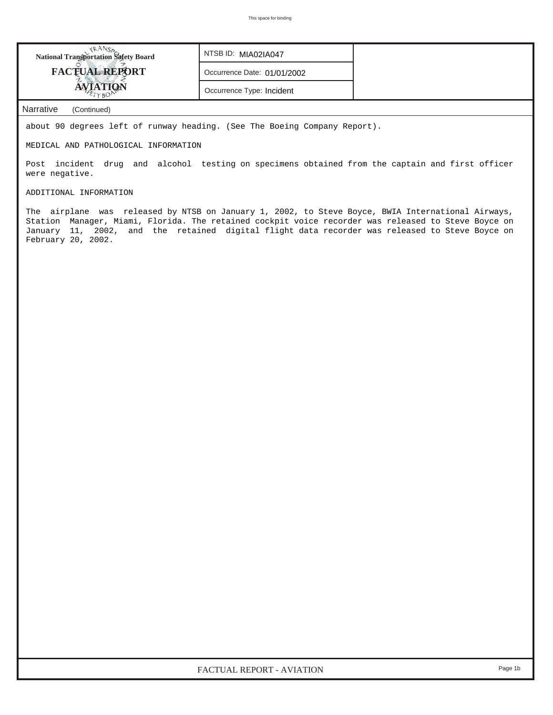| <b>National Transportation Safety Board</b> | NTSB ID: MIA02IA047         |
|---------------------------------------------|-----------------------------|
| <b>FACTUAL REPORT</b>                       | Occurrence Date: 01/01/2002 |
|                                             | Occurrence Type: Incident   |

*Narrative (Continued)*

about 90 degrees left of runway heading. (See The Boeing Company Report).

MEDICAL AND PATHOLOGICAL INFORMATION

Post incident drug and alcohol testing on specimens obtained from the captain and first officer were negative.

ADDITIONAL INFORMATION

The airplane was released by NTSB on January 1, 2002, to Steve Boyce, BWIA International Airways, Station Manager, Miami, Florida. The retained cockpit voice recorder was released to Steve Boyce on January 11, 2002, and the retained digital flight data recorder was released to Steve Boyce on February 20, 2002.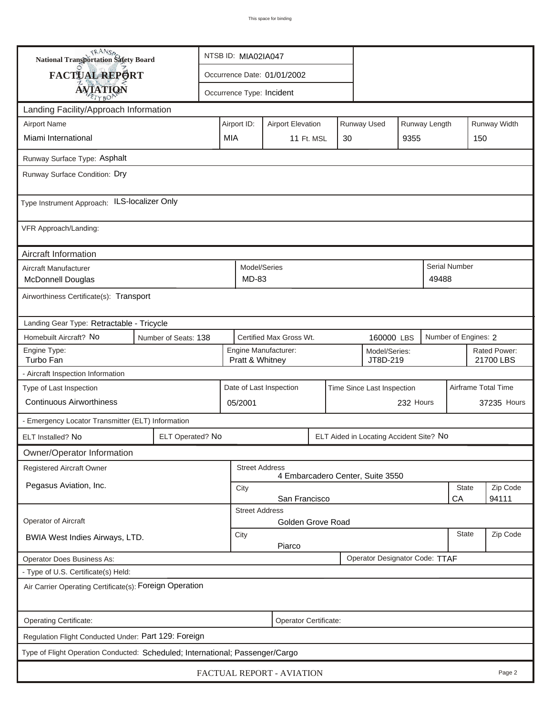| <b>National Transportation Safety Board</b>                                   |                  | NTSB ID: MIA02IA047                                   |                                                           |                           |            |                    |                                         |               |          |                           |  |
|-------------------------------------------------------------------------------|------------------|-------------------------------------------------------|-----------------------------------------------------------|---------------------------|------------|--------------------|-----------------------------------------|---------------|----------|---------------------------|--|
| FACTUAL REPORT                                                                |                  | Occurrence Date: 01/01/2002                           |                                                           |                           |            |                    |                                         |               |          |                           |  |
| <b>AVIATION</b>                                                               |                  |                                                       |                                                           | Occurrence Type: Incident |            |                    |                                         |               |          |                           |  |
| Landing Facility/Approach Information                                         |                  |                                                       |                                                           |                           |            |                    |                                         |               |          |                           |  |
| <b>Airport Name</b>                                                           |                  | Airport ID:                                           | <b>Airport Elevation</b>                                  |                           |            | <b>Runway Used</b> |                                         | Runway Length |          | Runway Width              |  |
| Miami International                                                           | <b>MIA</b>       |                                                       |                                                           |                           | 11 Ft. MSL | 30                 |                                         | 9355          |          | 150                       |  |
| Runway Surface Type: Asphalt                                                  |                  |                                                       |                                                           |                           |            |                    |                                         |               |          |                           |  |
| Runway Surface Condition: Dry                                                 |                  |                                                       |                                                           |                           |            |                    |                                         |               |          |                           |  |
| Type Instrument Approach: ILS-localizer Only                                  |                  |                                                       |                                                           |                           |            |                    |                                         |               |          |                           |  |
| VFR Approach/Landing:                                                         |                  |                                                       |                                                           |                           |            |                    |                                         |               |          |                           |  |
| Aircraft Information                                                          |                  |                                                       |                                                           |                           |            |                    |                                         |               |          |                           |  |
| Aircraft Manufacturer<br><b>McDonnell Douglas</b>                             |                  |                                                       | Model/Series<br>MD-83                                     |                           |            |                    |                                         |               | 49488    | Serial Number             |  |
| Airworthiness Certificate(s): Transport                                       |                  |                                                       |                                                           |                           |            |                    |                                         |               |          |                           |  |
| Landing Gear Type: Retractable - Tricycle                                     |                  |                                                       |                                                           |                           |            |                    |                                         |               |          |                           |  |
| Homebuilt Aircraft? No<br>Number of Seats: 138                                |                  |                                                       | Certified Max Gross Wt.<br>160000 LBS                     |                           |            |                    |                                         |               |          | Number of Engines: 2      |  |
| Engine Type:<br>Turbo Fan                                                     |                  |                                                       | Pratt & Whitney                                           | Engine Manufacturer:      |            |                    | Model/Series:<br>JT8D-219               |               |          | Rated Power:<br>21700 LBS |  |
| - Aircraft Inspection Information                                             |                  |                                                       |                                                           |                           |            |                    |                                         |               |          |                           |  |
| Type of Last Inspection                                                       |                  |                                                       |                                                           | Date of Last Inspection   |            |                    | Time Since Last Inspection              |               |          | Airframe Total Time       |  |
| <b>Continuous Airworthiness</b>                                               |                  |                                                       | 232 Hours<br>05/2001                                      |                           |            |                    |                                         |               |          | 37235 Hours               |  |
| - Emergency Locator Transmitter (ELT) Information                             |                  |                                                       |                                                           |                           |            |                    |                                         |               |          |                           |  |
| ELT Installed? No                                                             | ELT Operated? No |                                                       |                                                           |                           |            |                    | ELT Aided in Locating Accident Site? No |               |          |                           |  |
| Owner/Operator Information                                                    |                  |                                                       |                                                           |                           |            |                    |                                         |               |          |                           |  |
| <b>Registered Aircraft Owner</b>                                              |                  |                                                       | <b>Street Address</b><br>4 Embarcadero Center, Suite 3550 |                           |            |                    |                                         |               |          |                           |  |
| Pegasus Aviation, Inc.                                                        |                  | State<br>City                                         |                                                           |                           |            |                    |                                         |               |          | Zip Code                  |  |
|                                                                               |                  | San Francisco<br>CA<br>94111<br><b>Street Address</b> |                                                           |                           |            |                    |                                         |               |          |                           |  |
| Operator of Aircraft                                                          |                  | Golden Grove Road                                     |                                                           |                           |            |                    |                                         |               |          |                           |  |
| BWIA West Indies Airways, LTD.                                                |                  | <b>State</b><br>City<br>Piarco                        |                                                           |                           |            |                    |                                         |               | Zip Code |                           |  |
| Operator Does Business As:                                                    |                  |                                                       |                                                           |                           |            |                    | Operator Designator Code: TTAF          |               |          |                           |  |
| - Type of U.S. Certificate(s) Held:                                           |                  |                                                       |                                                           |                           |            |                    |                                         |               |          |                           |  |
| Air Carrier Operating Certificate(s): Foreign Operation                       |                  |                                                       |                                                           |                           |            |                    |                                         |               |          |                           |  |
| Operating Certificate:                                                        |                  |                                                       |                                                           | Operator Certificate:     |            |                    |                                         |               |          |                           |  |
| Regulation Flight Conducted Under: Part 129: Foreign                          |                  |                                                       |                                                           |                           |            |                    |                                         |               |          |                           |  |
| Type of Flight Operation Conducted: Scheduled; International; Passenger/Cargo |                  |                                                       |                                                           |                           |            |                    |                                         |               |          |                           |  |
| FACTUAL REPORT - AVIATION<br>Page 2                                           |                  |                                                       |                                                           |                           |            |                    |                                         |               |          |                           |  |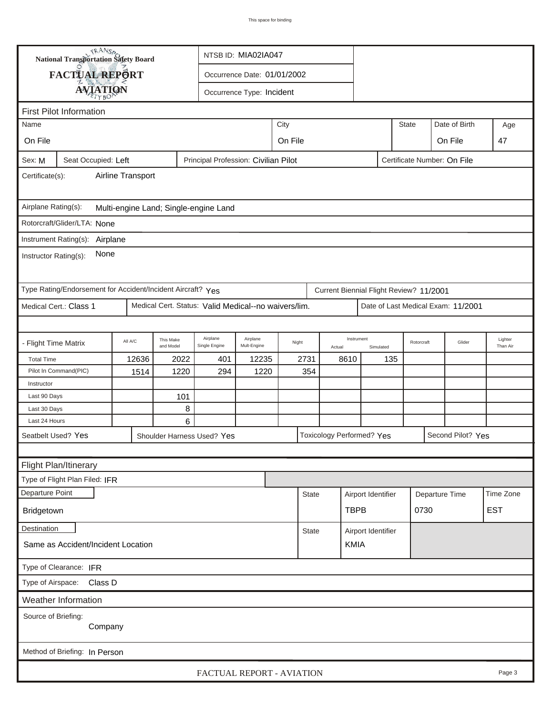|                                                                                      | <b>National Transportation Safety Board</b><br>NTSB ID: MIA02IA047                         |         |                        |                                                      |                             |                 |              |            |                                         |                    |                |                   |                                    |     |
|--------------------------------------------------------------------------------------|--------------------------------------------------------------------------------------------|---------|------------------------|------------------------------------------------------|-----------------------------|-----------------|--------------|------------|-----------------------------------------|--------------------|----------------|-------------------|------------------------------------|-----|
|                                                                                      | FACTUAL REPORT                                                                             |         |                        |                                                      | Occurrence Date: 01/01/2002 |                 |              |            |                                         |                    |                |                   |                                    |     |
|                                                                                      |                                                                                            |         |                        |                                                      | Occurrence Type: Incident   |                 |              |            |                                         |                    |                |                   |                                    |     |
| <b>AVIATION</b>                                                                      |                                                                                            |         |                        |                                                      |                             |                 |              |            |                                         |                    |                |                   |                                    |     |
| <b>First Pilot Information</b>                                                       |                                                                                            |         |                        |                                                      |                             |                 |              |            |                                         |                    |                |                   |                                    |     |
| Name                                                                                 |                                                                                            |         |                        |                                                      |                             | City            |              |            |                                         |                    | <b>State</b>   |                   | Date of Birth                      | Age |
| On File                                                                              |                                                                                            |         |                        |                                                      |                             | On File         |              |            |                                         |                    |                |                   | On File                            | 47  |
| Sex: M                                                                               | Principal Profession: Civilian Pilot<br>Seat Occupied: Left<br>Certificate Number: On File |         |                        |                                                      |                             |                 |              |            |                                         |                    |                |                   |                                    |     |
| Airline Transport<br>Certificate(s):                                                 |                                                                                            |         |                        |                                                      |                             |                 |              |            |                                         |                    |                |                   |                                    |     |
| Airplane Rating(s):<br>Multi-engine Land; Single-engine Land                         |                                                                                            |         |                        |                                                      |                             |                 |              |            |                                         |                    |                |                   |                                    |     |
| Rotorcraft/Glider/LTA: None                                                          |                                                                                            |         |                        |                                                      |                             |                 |              |            |                                         |                    |                |                   |                                    |     |
|                                                                                      | Instrument Rating(s):<br>Airplane                                                          |         |                        |                                                      |                             |                 |              |            |                                         |                    |                |                   |                                    |     |
| None<br>Instructor Rating(s):                                                        |                                                                                            |         |                        |                                                      |                             |                 |              |            |                                         |                    |                |                   |                                    |     |
|                                                                                      | Type Rating/Endorsement for Accident/Incident Aircraft? Yes                                |         |                        |                                                      |                             |                 |              |            | Current Biennial Flight Review? 11/2001 |                    |                |                   |                                    |     |
|                                                                                      | Medical Cert.: Class 1                                                                     |         |                        | Medical Cert. Status: Valid Medical--no waivers/lim. |                             |                 |              |            |                                         |                    |                |                   | Date of Last Medical Exam: 11/2001 |     |
|                                                                                      |                                                                                            |         |                        |                                                      |                             |                 |              |            |                                         |                    |                |                   |                                    |     |
| - Flight Time Matrix                                                                 |                                                                                            | All A/C | This Make<br>and Model | Airplane<br>Single Engine                            | Airplane<br>Mult-Engine     | Night<br>Actual |              | Instrument | Simulated                               | Rotorcraft         |                | Glider            | Lighter<br>Than Air                |     |
| <b>Total Time</b>                                                                    |                                                                                            | 12636   | 2022                   | 401                                                  | 12235                       |                 | 2731         |            | 8610                                    |                    | 135            |                   |                                    |     |
|                                                                                      | Pilot In Command(PIC)                                                                      | 1514    | 1220                   | 294                                                  | 1220                        |                 | 354          |            |                                         |                    |                |                   |                                    |     |
| Instructor                                                                           |                                                                                            |         |                        |                                                      |                             |                 |              |            |                                         |                    |                |                   |                                    |     |
| Last 90 Days                                                                         |                                                                                            |         | 101                    |                                                      |                             |                 |              |            |                                         |                    |                |                   |                                    |     |
| Last 30 Days                                                                         |                                                                                            |         | 8                      |                                                      |                             |                 |              |            |                                         |                    |                |                   |                                    |     |
| Last 24 Hours                                                                        |                                                                                            |         | 6                      |                                                      |                             |                 |              |            |                                         |                    |                |                   |                                    |     |
| Seatbelt Used? Yes<br><b>Toxicology Performed? Yes</b><br>Shoulder Harness Used? Yes |                                                                                            |         |                        |                                                      |                             |                 |              |            |                                         |                    |                | Second Pilot? Yes |                                    |     |
|                                                                                      |                                                                                            |         |                        |                                                      |                             |                 |              |            |                                         |                    |                |                   |                                    |     |
|                                                                                      | Flight Plan/Itinerary                                                                      |         |                        |                                                      |                             |                 |              |            |                                         |                    |                |                   |                                    |     |
|                                                                                      | Type of Flight Plan Filed: IFR                                                             |         |                        |                                                      |                             |                 |              |            |                                         |                    |                |                   |                                    |     |
| Departure Point                                                                      |                                                                                            |         |                        |                                                      |                             |                 | <b>State</b> |            | Airport Identifier                      |                    | Departure Time |                   | Time Zone                          |     |
| Bridgetown                                                                           |                                                                                            |         |                        |                                                      |                             |                 |              |            | <b>TBPB</b>                             | 0730               |                | <b>EST</b>        |                                    |     |
| <b>Destination</b>                                                                   |                                                                                            |         |                        |                                                      |                             |                 | <b>State</b> |            |                                         | Airport Identifier |                |                   |                                    |     |
| Same as Accident/Incident Location                                                   |                                                                                            |         |                        |                                                      |                             |                 |              |            | <b>KMIA</b>                             |                    |                |                   |                                    |     |
| Type of Clearance: IFR                                                               |                                                                                            |         |                        |                                                      |                             |                 |              |            |                                         |                    |                |                   |                                    |     |
| Type of Airspace:<br>Class D                                                         |                                                                                            |         |                        |                                                      |                             |                 |              |            |                                         |                    |                |                   |                                    |     |
|                                                                                      | Weather Information                                                                        |         |                        |                                                      |                             |                 |              |            |                                         |                    |                |                   |                                    |     |
|                                                                                      | Source of Briefing:<br>Company                                                             |         |                        |                                                      |                             |                 |              |            |                                         |                    |                |                   |                                    |     |
|                                                                                      | Method of Briefing: In Person                                                              |         |                        |                                                      |                             |                 |              |            |                                         |                    |                |                   |                                    |     |
| FACTUAL REPORT - AVIATION<br>Page 3                                                  |                                                                                            |         |                        |                                                      |                             |                 |              |            |                                         |                    |                |                   |                                    |     |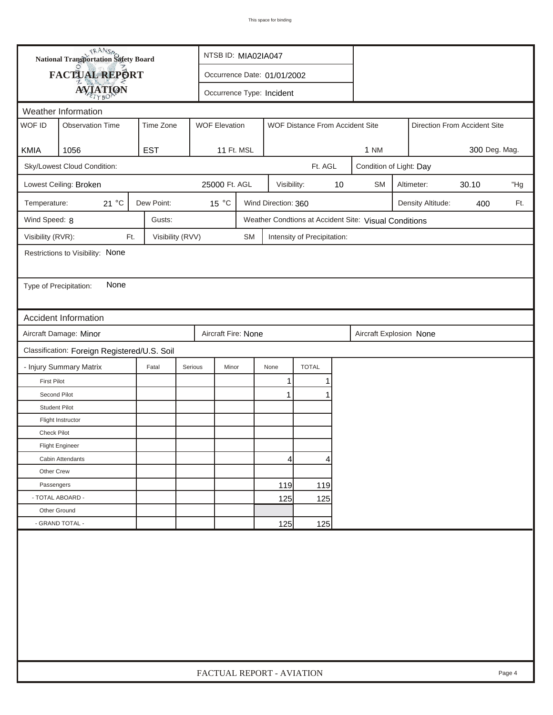|                                     | <b>National Transportation Safety Board</b><br>NTSB ID: MIA02IA047 |                  |                      |                           |                     |                                 |    |                                                       |                                 |            |       |     |  |
|-------------------------------------|--------------------------------------------------------------------|------------------|----------------------|---------------------------|---------------------|---------------------------------|----|-------------------------------------------------------|---------------------------------|------------|-------|-----|--|
|                                     | FACTUAL REPORT<br>Occurrence Date: 01/01/2002                      |                  |                      |                           |                     |                                 |    |                                                       |                                 |            |       |     |  |
|                                     | <b>AVIATION</b>                                                    |                  |                      | Occurrence Type: Incident |                     |                                 |    |                                                       |                                 |            |       |     |  |
|                                     | Weather Information                                                |                  |                      |                           |                     |                                 |    |                                                       |                                 |            |       |     |  |
| WOF ID                              | <b>Observation Time</b>                                            | Time Zone        | <b>WOF Elevation</b> |                           |                     | WOF Distance From Accident Site |    |                                                       | Direction From Accident Site    |            |       |     |  |
|                                     |                                                                    |                  |                      |                           |                     |                                 |    |                                                       |                                 |            |       |     |  |
| KMIA                                | 1056                                                               | <b>EST</b>       | 11 Ft. MSL           |                           |                     |                                 |    | <b>1 NM</b>                                           | 300 Deg. Mag.                   |            |       |     |  |
|                                     | Sky/Lowest Cloud Condition:                                        |                  |                      |                           |                     | Ft. AGL                         |    | Condition of Light: Day                               |                                 |            |       |     |  |
|                                     | Lowest Ceiling: Broken                                             |                  | 25000 Ft. AGL        |                           | Visibility:         |                                 | 10 | <b>SM</b>                                             |                                 | Altimeter: | 30.10 | "Hg |  |
| Temperature:                        | 21 °C                                                              | Dew Point:       | 15 °C                |                           | Wind Direction: 360 |                                 |    |                                                       | Density Altitude:<br>Ft.<br>400 |            |       |     |  |
| Wind Speed: 8                       |                                                                    | Gusts:           |                      |                           |                     |                                 |    | Weather Condtions at Accident Site: Visual Conditions |                                 |            |       |     |  |
| Visibility (RVR):                   | Ft.                                                                | Visibility (RVV) |                      | <b>SM</b>                 |                     | Intensity of Precipitation:     |    |                                                       |                                 |            |       |     |  |
|                                     | Restrictions to Visibility: None                                   |                  |                      |                           |                     |                                 |    |                                                       |                                 |            |       |     |  |
|                                     |                                                                    |                  |                      |                           |                     |                                 |    |                                                       |                                 |            |       |     |  |
| Type of Precipitation:              | None                                                               |                  |                      |                           |                     |                                 |    |                                                       |                                 |            |       |     |  |
|                                     |                                                                    |                  |                      |                           |                     |                                 |    |                                                       |                                 |            |       |     |  |
|                                     | <b>Accident Information</b>                                        |                  |                      |                           |                     |                                 |    |                                                       |                                 |            |       |     |  |
|                                     | Aircraft Damage: Minor                                             |                  | Aircraft Fire: None  |                           |                     |                                 |    | Aircraft Explosion None                               |                                 |            |       |     |  |
|                                     | Classification: Foreign Registered/U.S. Soil                       |                  |                      |                           |                     |                                 |    |                                                       |                                 |            |       |     |  |
|                                     | - Injury Summary Matrix                                            | Fatal            | Serious<br>Minor     |                           | None                | <b>TOTAL</b>                    |    |                                                       |                                 |            |       |     |  |
| <b>First Pilot</b>                  |                                                                    |                  |                      |                           | 1                   | 1                               |    |                                                       |                                 |            |       |     |  |
| Second Pilot                        |                                                                    |                  |                      |                           | $\mathbf{1}$        | 1                               |    |                                                       |                                 |            |       |     |  |
| <b>Student Pilot</b>                |                                                                    |                  |                      |                           |                     |                                 |    |                                                       |                                 |            |       |     |  |
|                                     | Flight Instructor                                                  |                  |                      |                           |                     |                                 |    |                                                       |                                 |            |       |     |  |
| <b>Check Pilot</b>                  |                                                                    |                  |                      |                           |                     |                                 |    |                                                       |                                 |            |       |     |  |
|                                     | <b>Flight Engineer</b>                                             |                  |                      |                           |                     |                                 |    |                                                       |                                 |            |       |     |  |
|                                     | Cabin Attendants                                                   |                  |                      |                           | 4                   | 4                               |    |                                                       |                                 |            |       |     |  |
| Other Crew                          |                                                                    |                  |                      |                           |                     |                                 |    |                                                       |                                 |            |       |     |  |
| Passengers                          |                                                                    |                  |                      |                           | 119                 | 119                             |    |                                                       |                                 |            |       |     |  |
| - TOTAL ABOARD -                    |                                                                    |                  |                      |                           | 125                 | 125                             |    |                                                       |                                 |            |       |     |  |
| Other Ground                        |                                                                    |                  |                      |                           |                     |                                 |    |                                                       |                                 |            |       |     |  |
|                                     | - GRAND TOTAL -                                                    |                  |                      |                           | 125                 | 125                             |    |                                                       |                                 |            |       |     |  |
|                                     |                                                                    |                  |                      |                           |                     |                                 |    |                                                       |                                 |            |       |     |  |
| FACTUAL REPORT - AVIATION<br>Page 4 |                                                                    |                  |                      |                           |                     |                                 |    |                                                       |                                 |            |       |     |  |